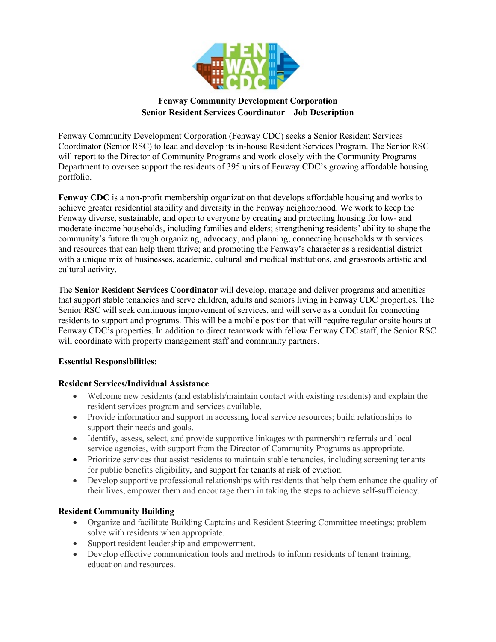

# **Fenway Community Development Corporation Senior Resident Services Coordinator – Job Description**

Fenway Community Development Corporation (Fenway CDC) seeks a Senior Resident Services Coordinator (Senior RSC) to lead and develop its in-house Resident Services Program. The Senior RSC will report to the Director of Community Programs and work closely with the Community Programs Department to oversee support the residents of 395 units of Fenway CDC's growing affordable housing portfolio.

**Fenway CDC** is a non-profit membership organization that develops affordable housing and works to achieve greater residential stability and diversity in the Fenway neighborhood. We work to keep the Fenway diverse, sustainable, and open to everyone by creating and protecting housing for low- and moderate-income households, including families and elders; strengthening residents' ability to shape the community's future through organizing, advocacy, and planning; connecting households with services and resources that can help them thrive; and promoting the Fenway's character as a residential district with a unique mix of businesses, academic, cultural and medical institutions, and grassroots artistic and cultural activity.

The **Senior Resident Services Coordinator** will develop, manage and deliver programs and amenities that support stable tenancies and serve children, adults and seniors living in Fenway CDC properties. The Senior RSC will seek continuous improvement of services, and will serve as a conduit for connecting residents to support and programs. This will be a mobile position that will require regular onsite hours at Fenway CDC's properties. In addition to direct teamwork with fellow Fenway CDC staff, the Senior RSC will coordinate with property management staff and community partners.

## **Essential Responsibilities:**

## **Resident Services/Individual Assistance**

- Welcome new residents (and establish/maintain contact with existing residents) and explain the resident services program and services available.
- Provide information and support in accessing local service resources; build relationships to support their needs and goals.
- Identify, assess, select, and provide supportive linkages with partnership referrals and local service agencies, with support from the Director of Community Programs as appropriate.
- Prioritize services that assist residents to maintain stable tenancies, including screening tenants for public benefits eligibility, and support for tenants at risk of eviction.
- Develop supportive professional relationships with residents that help them enhance the quality of their lives, empower them and encourage them in taking the steps to achieve self-sufficiency.

## **Resident Community Building**

- Organize and facilitate Building Captains and Resident Steering Committee meetings; problem solve with residents when appropriate.
- Support resident leadership and empowerment.
- Develop effective communication tools and methods to inform residents of tenant training, education and resources.